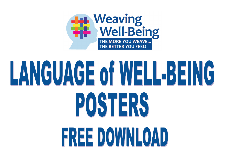

# LANGUAGE of WELL-BEING POSTERS FREE DOWNLOAD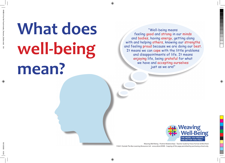## **What does well-being mean?**

"Well-being means feeling good and strong in our minds and bodies, having energy, getting along with and helping others, knowing our strengths and feeling proud because we are doing our best. It means we can cope with the little problems and disappointments of life. It means enjoying life, being grateful for what we have and accepting ourselves just as we are!"

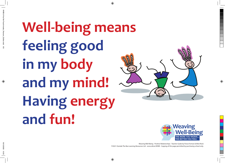**Well-being means feeling good in my body and my mind! Having energy and fun!**



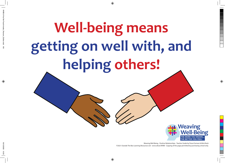## **Well-being means getting on well with, and helping others!**

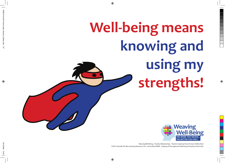#### **Well-being means knowing and using my strengths!**

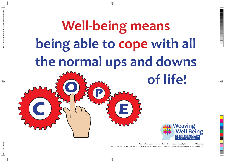#### **Well-being means being able to cope with all the normal ups and downs of life! C OP E**

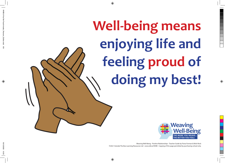**Well-being means enjoying life and feeling proud of doing my best!**